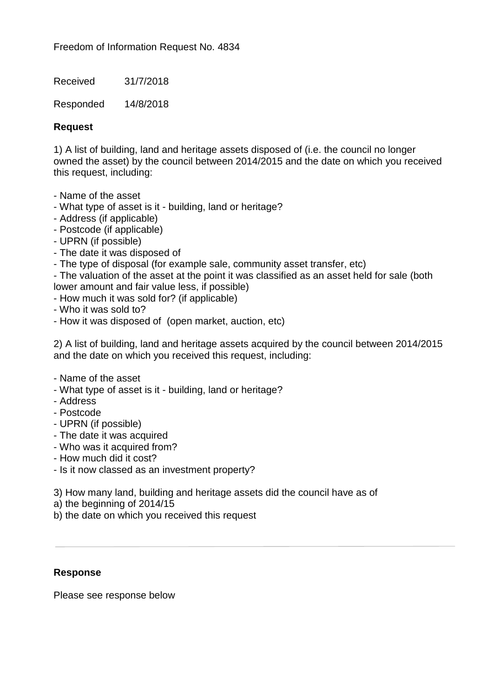Freedom of Information Request No. 4834

Received 31/7/2018

Responded 14/8/2018

## **Request**

1) A list of building, land and heritage assets disposed of (i.e. the council no longer owned the asset) by the council between 2014/2015 and the date on which you received this request, including:

- Name of the asset
- What type of asset is it building, land or heritage?
- Address (if applicable)
- Postcode (if applicable)
- UPRN (if possible)
- The date it was disposed of
- The type of disposal (for example sale, community asset transfer, etc)
- The valuation of the asset at the point it was classified as an asset held for sale (both lower amount and fair value less, if possible)
- How much it was sold for? (if applicable)
- Who it was sold to?
- How it was disposed of (open market, auction, etc)

2) A list of building, land and heritage assets acquired by the council between 2014/2015 and the date on which you received this request, including:

- Name of the asset
- What type of asset is it building, land or heritage?
- Address
- Postcode
- UPRN (if possible)
- The date it was acquired
- Who was it acquired from?
- How much did it cost?
- Is it now classed as an investment property?
- 3) How many land, building and heritage assets did the council have as of
- a) the beginning of 2014/15
- b) the date on which you received this request

## **Response**

Please see response below